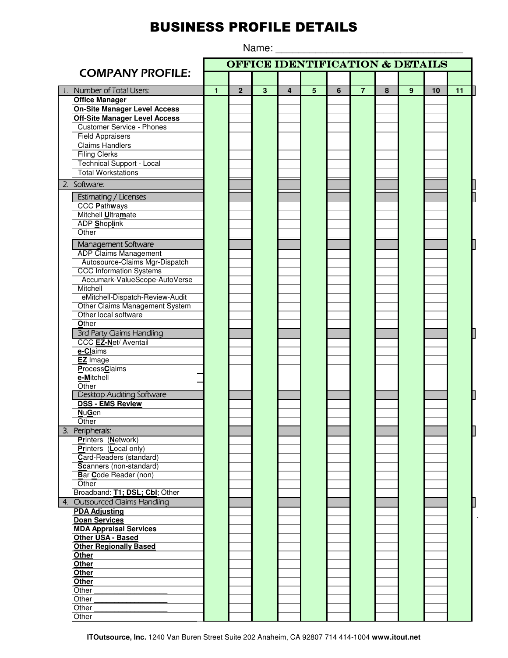## **BUSINESS PROFILE DETAILS**

Name:

**OFFICE IDENTIFICATION & DETAILS COMPANY PROFILE:** Number of Total Users:  $\overline{1}$  $\overline{2}$  $\overline{3}$  $\overline{4}$  $\overline{5}$  $6$  $\overline{7}$  $\overline{8}$  $\overline{9}$  $10$  $\overline{11}$ **Office Manager On-Site Manager Level Access Off-Site Manager Level Access Customer Service - Phones Field Appraisers Claims Handlers Filing Clerks** Technical Support - Local **Total Workstations** 2. Software: **Estimating / Licenses CCC Pathways** Mitchell Ultramate ADP Shoplink Other Management Software **ADP Claims Management** Autosource-Claims Mgr-Dispatch **CCC Information Systems** Accumark-ValueScope-AutoVerse Mitchell eMitchell-Dispatch-Review-Audit Other Claims Management System Other local software Other 3rd Party Claims Handling CCC EZ-Net/ Aventail e-Claims **EZ** Image ProcessClaims e-Mitchell Other **Desktop Auditing Software DSS - EMS Review NuGen** Other 3. Peripherals: Printers (Network) **Printers** (Local only) Card-Readers (standard) Scanners (non-standard) Bar Code Reader (non) Other Broadband: T1; DSL; CbI; Other **Outsourced Claims Handling**  $\overline{4}$ **PDA Adjusting Doan Services MDA Appraisal Services Other USA - Based Other Regionally Based Other** Other Other Other Other Other Other Other